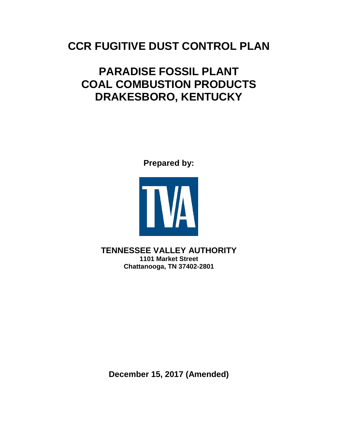# **CCR FUGITIVE DUST CONTROL PLAN**

# **PARADISE FOSSIL PLANT COAL COMBUSTION PRODUCTS DRAKESBORO, KENTUCKY**

**Prepared by:** 



**TENNESSEE VALLEY AUTHORITY 1101 Market Street Chattanooga, TN 37402-2801**

**December 15, 2017 (Amended)**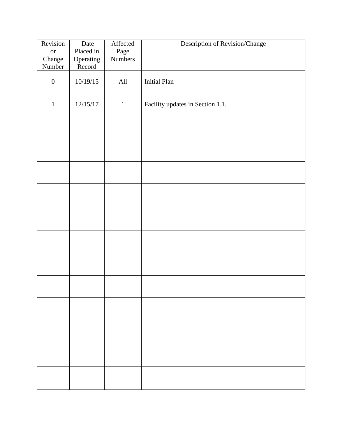| Revision            | Date                   | Affected        | Description of Revision/Change   |
|---------------------|------------------------|-----------------|----------------------------------|
| <b>or</b><br>Change | Placed in<br>Operating | Page<br>Numbers |                                  |
| Number              | Record                 |                 |                                  |
| $\boldsymbol{0}$    | 10/19/15               | All             | <b>Initial Plan</b>              |
| $\mathbf{1}$        | 12/15/17               | $\mathbf{1}$    | Facility updates in Section 1.1. |
|                     |                        |                 |                                  |
|                     |                        |                 |                                  |
|                     |                        |                 |                                  |
|                     |                        |                 |                                  |
|                     |                        |                 |                                  |
|                     |                        |                 |                                  |
|                     |                        |                 |                                  |
|                     |                        |                 |                                  |
|                     |                        |                 |                                  |
|                     |                        |                 |                                  |
|                     |                        |                 |                                  |
|                     |                        |                 |                                  |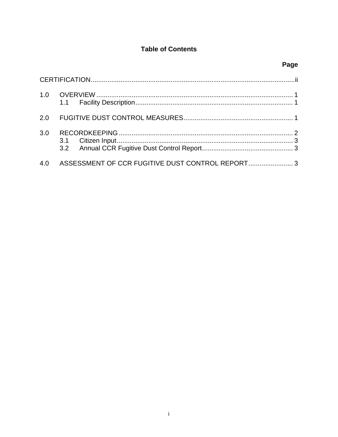# **Table of Contents**

| 3.0 |                                                  |  |
|-----|--------------------------------------------------|--|
| 4.0 | ASSESSMENT OF CCR FUGITIVE DUST CONTROL REPORT 3 |  |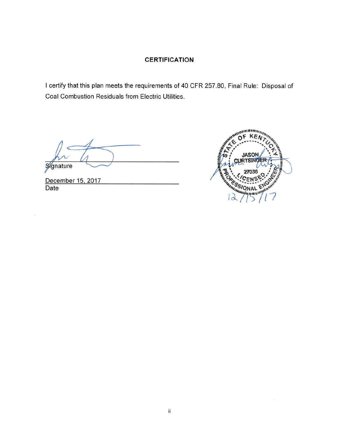### **CERTIFICATION**

I certify that this plan meets the requirements of 40 CFR 257.80, Final Rule: Disposal of Coal Combustion Residuals from Electric Utilities.

Signature

December 15, 2017 Date

 $\mathcal{D}$ 

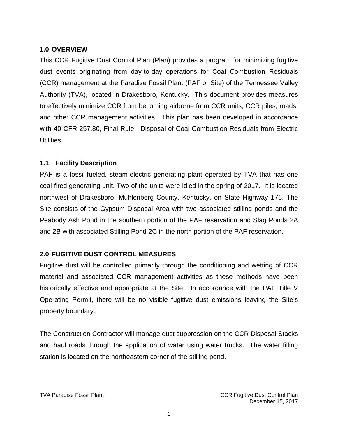### <span id="page-4-0"></span>**1.0 OVERVIEW**

This CCR Fugitive Dust Control Plan (Plan) provides a program for minimizing fugitive dust events originating from day-to-day operations for Coal Combustion Residuals (CCR) management at the Paradise Fossil Plant (PAF or Site) of the Tennessee Valley Authority (TVA), located in Drakesboro, Kentucky. This document provides measures to effectively minimize CCR from becoming airborne from CCR units, CCR piles, roads, and other CCR management activities. This plan has been developed in accordance with 40 CFR 257.80, Final Rule: Disposal of Coal Combustion Residuals from Electric Utilities.

### <span id="page-4-1"></span>**1.1 Facility Description**

PAF is a fossil-fueled, steam-electric generating plant operated by TVA that has one coal-fired generating unit. Two of the units were idled in the spring of 2017. It is located northwest of Drakesboro, Muhlenberg County, Kentucky, on State Highway 176. The Site consists of the Gypsum Disposal Area with two associated stilling ponds and the Peabody Ash Pond in the southern portion of the PAF reservation and Slag Ponds 2A and 2B with associated Stilling Pond 2C in the north portion of the PAF reservation.

# **2.0 FUGITIVE DUST CONTROL MEASURES**

Fugitive dust will be controlled primarily through the conditioning and wetting of CCR material and associated CCR management activities as these methods have been historically effective and appropriate at the Site. In accordance with the PAF Title V Operating Permit, there will be no visible fugitive dust emissions leaving the Site's property boundary.

The Construction Contractor will manage dust suppression on the CCR Disposal Stacks and haul roads through the application of water using water trucks. The water filling station is located on the northeastern corner of the stilling pond.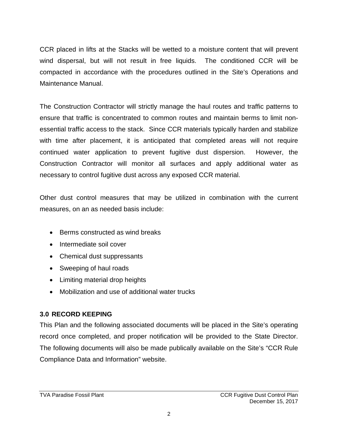CCR placed in lifts at the Stacks will be wetted to a moisture content that will prevent wind dispersal, but will not result in free liquids. The conditioned CCR will be compacted in accordance with the procedures outlined in the Site's Operations and Maintenance Manual.

The Construction Contractor will strictly manage the haul routes and traffic patterns to ensure that traffic is concentrated to common routes and maintain berms to limit nonessential traffic access to the stack. Since CCR materials typically harden and stabilize with time after placement, it is anticipated that completed areas will not require continued water application to prevent fugitive dust dispersion. However, the Construction Contractor will monitor all surfaces and apply additional water as necessary to control fugitive dust across any exposed CCR material.

Other dust control measures that may be utilized in combination with the current measures, on an as needed basis include:

- Berms constructed as wind breaks
- Intermediate soil cover
- Chemical dust suppressants
- Sweeping of haul roads
- Limiting material drop heights
- Mobilization and use of additional water trucks

# **3.0 RECORD KEEPING**

This Plan and the following associated documents will be placed in the Site's operating record once completed, and proper notification will be provided to the State Director. The following documents will also be made publically available on the Site's "CCR Rule Compliance Data and Information" website.